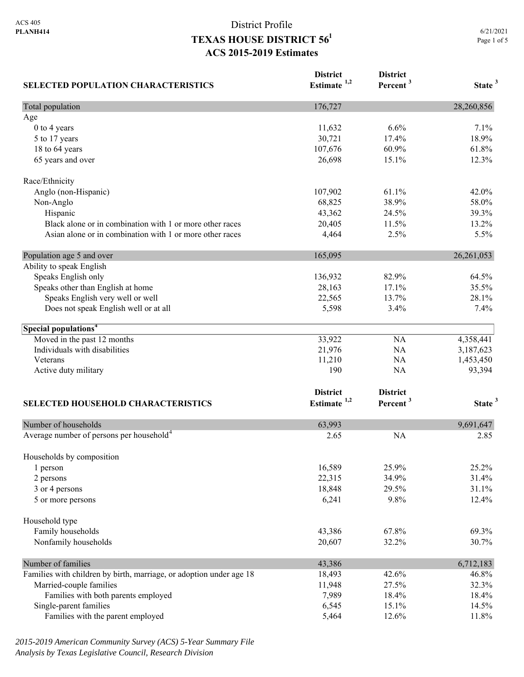| <b>SELECTED POPULATION CHARACTERISTICS</b>                          | <b>District</b><br>Estimate <sup>1,2</sup> | <b>District</b><br>Percent <sup>3</sup> | State <sup>3</sup> |
|---------------------------------------------------------------------|--------------------------------------------|-----------------------------------------|--------------------|
| Total population                                                    | 176,727                                    |                                         | 28,260,856         |
| Age                                                                 |                                            |                                         |                    |
| 0 to 4 years                                                        | 11,632                                     | 6.6%                                    | 7.1%               |
| 5 to 17 years                                                       | 30,721                                     | 17.4%                                   | 18.9%              |
| 18 to 64 years                                                      | 107,676                                    | 60.9%                                   | 61.8%              |
| 65 years and over                                                   | 26,698                                     | 15.1%                                   | 12.3%              |
| Race/Ethnicity                                                      |                                            |                                         |                    |
| Anglo (non-Hispanic)                                                | 107,902                                    | 61.1%                                   | 42.0%              |
| Non-Anglo                                                           | 68,825                                     | 38.9%                                   | 58.0%              |
| Hispanic                                                            | 43,362                                     | 24.5%                                   | 39.3%              |
| Black alone or in combination with 1 or more other races            | 20,405                                     | 11.5%                                   | 13.2%              |
| Asian alone or in combination with 1 or more other races            | 4,464                                      | 2.5%                                    | 5.5%               |
| Population age 5 and over                                           | 165,095                                    |                                         | 26, 261, 053       |
| Ability to speak English                                            |                                            |                                         |                    |
| Speaks English only                                                 | 136,932                                    | 82.9%                                   | 64.5%              |
| Speaks other than English at home                                   | 28,163                                     | 17.1%                                   | 35.5%              |
| Speaks English very well or well                                    | 22,565                                     | 13.7%                                   | 28.1%              |
| Does not speak English well or at all                               | 5,598                                      | 3.4%                                    | 7.4%               |
| Special populations <sup>4</sup>                                    |                                            |                                         |                    |
| Moved in the past 12 months                                         | 33,922                                     | <b>NA</b>                               | 4,358,441          |
| Individuals with disabilities                                       | 21,976                                     | NA                                      | 3,187,623          |
| Veterans                                                            | 11,210                                     | NA                                      | 1,453,450          |
| Active duty military                                                | 190                                        | NA                                      | 93,394             |
|                                                                     | <b>District</b>                            | <b>District</b>                         |                    |
| SELECTED HOUSEHOLD CHARACTERISTICS                                  | Estimate $1,2$                             | Percent <sup>3</sup>                    | State <sup>3</sup> |
| Number of households                                                | 63,993                                     |                                         | 9,691,647          |
| Average number of persons per household <sup>4</sup>                | 2.65                                       | <b>NA</b>                               | 2.85               |
| Households by composition                                           |                                            |                                         |                    |
| 1 person                                                            | 16,589                                     | 25.9%                                   | 25.2%              |
| 2 persons                                                           | 22,315                                     | 34.9%                                   | 31.4%              |
| 3 or 4 persons                                                      | 18,848                                     | 29.5%                                   | 31.1%              |
| 5 or more persons                                                   | 6,241                                      | 9.8%                                    | 12.4%              |
| Household type                                                      |                                            |                                         |                    |
| Family households                                                   | 43,386                                     | 67.8%                                   | 69.3%              |
| Nonfamily households                                                | 20,607                                     | 32.2%                                   | 30.7%              |
| Number of families                                                  | 43,386                                     |                                         | 6,712,183          |
| Families with children by birth, marriage, or adoption under age 18 | 18,493                                     | 42.6%                                   | 46.8%              |
| Married-couple families                                             | 11,948                                     | 27.5%                                   | 32.3%              |
| Families with both parents employed                                 | 7,989                                      | 18.4%                                   | 18.4%              |
| Single-parent families                                              | 6,545                                      | 15.1%                                   | 14.5%              |
| Families with the parent employed                                   | 5,464                                      | 12.6%                                   | 11.8%              |

*2015-2019 American Community Survey (ACS) 5-Year Summary File Analysis by Texas Legislative Council, Research Division*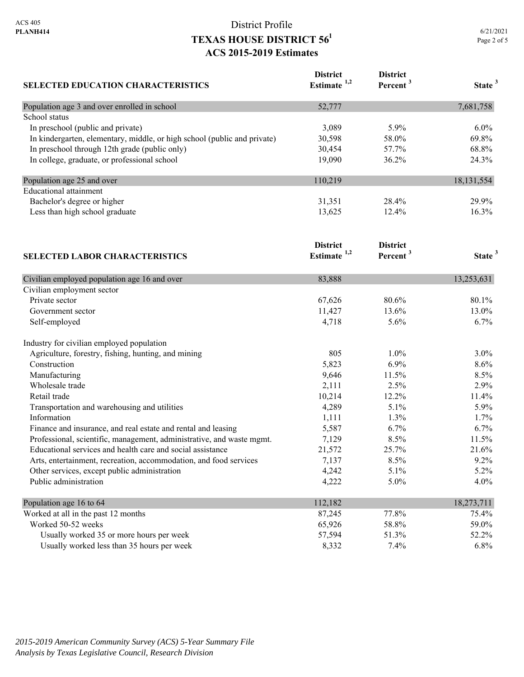| <b>SELECTED EDUCATION CHARACTERISTICS</b>                                | <b>District</b><br>Estimate <sup>1,2</sup> | <b>District</b><br>Percent <sup>3</sup> | State <sup>3</sup> |
|--------------------------------------------------------------------------|--------------------------------------------|-----------------------------------------|--------------------|
| Population age 3 and over enrolled in school                             | 52,777                                     |                                         | 7,681,758          |
| School status                                                            |                                            |                                         |                    |
| In preschool (public and private)                                        | 3,089                                      | 5.9%                                    | $6.0\%$            |
| In kindergarten, elementary, middle, or high school (public and private) | 30,598                                     | 58.0%                                   | 69.8%              |
| In preschool through 12th grade (public only)                            | 30,454                                     | 57.7%                                   | 68.8%              |
| In college, graduate, or professional school                             | 19,090                                     | 36.2%                                   | 24.3%              |
| Population age 25 and over                                               | 110,219                                    |                                         | 18,131,554         |
| <b>Educational attainment</b>                                            |                                            |                                         |                    |
| Bachelor's degree or higher                                              | 31,351                                     | 28.4%                                   | 29.9%              |
| Less than high school graduate<br><b>SELECTED LABOR CHARACTERISTICS</b>  | 13,625                                     | 12.4%                                   | 16.3%              |
|                                                                          | <b>District</b><br>Estimate $1,2$          | <b>District</b><br>Percent <sup>3</sup> | State <sup>3</sup> |
|                                                                          |                                            |                                         |                    |
| Civilian employed population age 16 and over                             | 83,888                                     |                                         | 13,253,631         |
| Civilian employment sector<br>Private sector                             |                                            |                                         |                    |
|                                                                          | 67,626<br>11,427                           | 80.6%<br>13.6%                          | 80.1%<br>13.0%     |
| Government sector                                                        |                                            | 5.6%                                    | 6.7%               |
| Self-employed                                                            | 4,718                                      |                                         |                    |
| Industry for civilian employed population                                |                                            |                                         |                    |
| Agriculture, forestry, fishing, hunting, and mining                      | 805                                        | 1.0%                                    | $3.0\%$            |
| Construction                                                             | 5,823                                      | 6.9%                                    | 8.6%               |
| Manufacturing                                                            | 9,646                                      | 11.5%                                   | 8.5%               |
| Wholesale trade                                                          | 2,111                                      | 2.5%                                    | 2.9%               |
| Retail trade                                                             | 10,214                                     | 12.2%                                   | 11.4%              |
| Transportation and warehousing and utilities                             | 4,289                                      | 5.1%                                    | 5.9%               |
| Information                                                              | 1,111                                      | 1.3%                                    | 1.7%               |
| Finance and insurance, and real estate and rental and leasing            | 5,587                                      | 6.7%                                    | 6.7%               |
| Professional, scientific, management, administrative, and waste mgmt.    | 7,129                                      | 8.5%                                    | 11.5%              |
| Educational services and health care and social assistance               | 21,572                                     | 25.7%                                   | 21.6%              |
| Arts, entertainment, recreation, accommodation, and food services        | 7,137                                      | 8.5%                                    | 9.2%               |
| Other services, except public administration                             | 4,242                                      | 5.1%                                    | 5.2%               |
| Public administration                                                    | 4,222                                      | 5.0%                                    | 4.0%               |
| Population age 16 to 64                                                  | 112,182                                    |                                         | 18,273,711         |
| Worked at all in the past 12 months                                      | 87,245                                     | 77.8%                                   | 75.4%              |
| Worked 50-52 weeks                                                       | 65,926                                     | 58.8%                                   | 59.0%              |
| Usually worked 35 or more hours per week                                 | 57,594                                     | 51.3%                                   | 52.2%              |
| Usually worked less than 35 hours per week                               | 8,332                                      | 7.4%                                    | 6.8%               |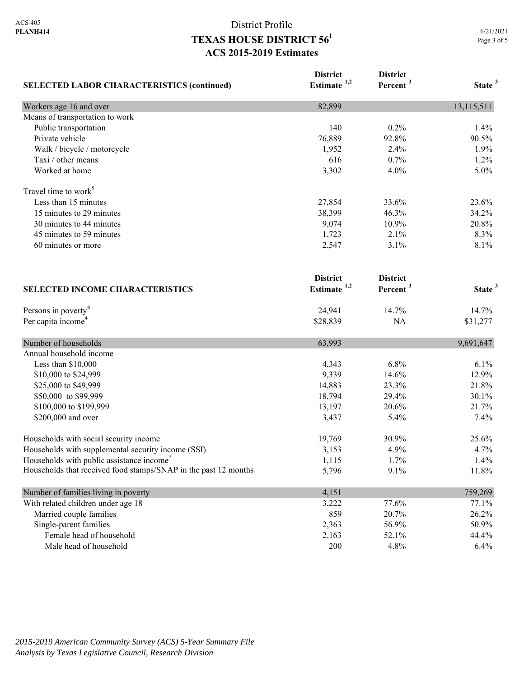| <b>SELECTED LABOR CHARACTERISTICS (continued)</b>               | <b>District</b><br>Estimate $1,2$ | <b>District</b><br>Percent <sup>3</sup> | State <sup>3</sup> |
|-----------------------------------------------------------------|-----------------------------------|-----------------------------------------|--------------------|
| Workers age 16 and over                                         | 82,899                            |                                         | 13,115,511         |
| Means of transportation to work                                 |                                   |                                         |                    |
| Public transportation                                           | 140                               | 0.2%                                    | 1.4%               |
| Private vehicle                                                 | 76,889                            | 92.8%                                   | 90.5%              |
| Walk / bicycle / motorcycle                                     | 1,952                             | 2.4%                                    | 1.9%               |
| Taxi / other means                                              | 616                               | 0.7%                                    | 1.2%               |
| Worked at home                                                  | 3,302                             | 4.0%                                    | 5.0%               |
| Travel time to work <sup>5</sup>                                |                                   |                                         |                    |
| Less than 15 minutes                                            | 27,854                            | 33.6%                                   | 23.6%              |
| 15 minutes to 29 minutes                                        | 38,399                            | 46.3%                                   | 34.2%              |
| 30 minutes to 44 minutes                                        | 9,074                             | 10.9%                                   | 20.8%              |
| 45 minutes to 59 minutes                                        | 1,723                             | 2.1%                                    | 8.3%               |
| 60 minutes or more                                              | 2,547                             | 3.1%                                    | 8.1%               |
|                                                                 | <b>District</b>                   | <b>District</b>                         |                    |
| <b>SELECTED INCOME CHARACTERISTICS</b>                          | Estimate <sup>1,2</sup>           | Percent <sup>3</sup>                    | State <sup>3</sup> |
| Persons in poverty <sup>6</sup>                                 | 24,941                            | 14.7%                                   | 14.7%              |
| Per capita income <sup>4</sup>                                  | \$28,839                          | NA                                      | \$31,277           |
| Number of households                                            | 63,993                            |                                         | 9,691,647          |
| Annual household income                                         |                                   |                                         |                    |
| Less than $$10,000$                                             | 4,343                             | 6.8%                                    | 6.1%               |
| \$10,000 to \$24,999                                            | 9,339                             | 14.6%                                   | 12.9%              |
| \$25,000 to \$49,999                                            | 14,883                            | 23.3%                                   | 21.8%              |
| \$50,000 to \$99,999                                            | 18,794                            | 29.4%                                   | 30.1%              |
| \$100,000 to \$199,999                                          | 13,197                            | 20.6%                                   | 21.7%              |
| \$200,000 and over                                              | 3,437                             | 5.4%                                    | 7.4%               |
| Households with social security income                          | 19,769                            | 30.9%                                   | 25.6%              |
| Households with supplemental security income (SSI)              | 3,153                             | 4.9%                                    | 4.7%               |
| Households with public assistance income'                       | 1,115                             | 1.7%                                    | 1.4%               |
| Households that received food stamps/SNAP in the past 12 months | 5,796                             | 9.1%                                    | 11.8%              |
| Number of families living in poverty                            | 4,151                             |                                         | 759,269            |
| With related children under age 18                              | 3,222                             | 77.6%                                   | 77.1%              |
| Married couple families                                         | 859                               | 20.7%                                   | 26.2%              |
| Single-parent families                                          | 2,363                             | 56.9%                                   | 50.9%              |
| Female head of household                                        | 2,163                             | 52.1%                                   | 44.4%              |
| Male head of household                                          | 200                               | 4.8%                                    | 6.4%               |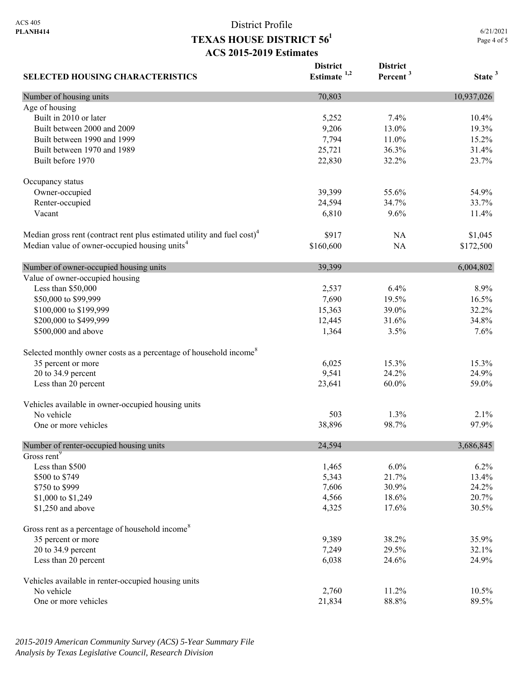6/21/2021 Page 4 of 5

| <b>SELECTED HOUSING CHARACTERISTICS</b>                                             | <b>District</b><br>Estimate $1,2$ | <b>District</b><br>Percent <sup>3</sup> | State <sup>3</sup> |
|-------------------------------------------------------------------------------------|-----------------------------------|-----------------------------------------|--------------------|
| Number of housing units                                                             | 70,803                            |                                         | 10,937,026         |
| Age of housing                                                                      |                                   |                                         |                    |
| Built in 2010 or later                                                              | 5,252                             | 7.4%                                    | 10.4%              |
| Built between 2000 and 2009                                                         | 9,206                             | 13.0%                                   | 19.3%              |
| Built between 1990 and 1999                                                         | 7,794                             | 11.0%                                   | 15.2%              |
| Built between 1970 and 1989                                                         | 25,721                            | 36.3%                                   | 31.4%              |
| Built before 1970                                                                   | 22,830                            | 32.2%                                   | 23.7%              |
| Occupancy status                                                                    |                                   |                                         |                    |
| Owner-occupied                                                                      | 39,399                            | 55.6%                                   | 54.9%              |
| Renter-occupied                                                                     | 24,594                            | 34.7%                                   | 33.7%              |
| Vacant                                                                              | 6,810                             | 9.6%                                    | 11.4%              |
| Median gross rent (contract rent plus estimated utility and fuel cost) <sup>4</sup> | \$917                             | NA                                      | \$1,045            |
| Median value of owner-occupied housing units <sup>4</sup>                           | \$160,600                         | <b>NA</b>                               | \$172,500          |
| Number of owner-occupied housing units                                              | 39,399                            |                                         | 6,004,802          |
| Value of owner-occupied housing                                                     |                                   |                                         |                    |
| Less than \$50,000                                                                  | 2,537                             | 6.4%                                    | 8.9%               |
| \$50,000 to \$99,999                                                                | 7,690                             | 19.5%                                   | 16.5%              |
| \$100,000 to \$199,999                                                              | 15,363                            | 39.0%                                   | 32.2%              |
| \$200,000 to \$499,999                                                              | 12,445                            | 31.6%                                   | 34.8%              |
| \$500,000 and above                                                                 | 1,364                             | 3.5%                                    | 7.6%               |
| Selected monthly owner costs as a percentage of household income <sup>8</sup>       |                                   |                                         |                    |
| 35 percent or more                                                                  | 6,025                             | 15.3%                                   | 15.3%              |
| 20 to 34.9 percent                                                                  | 9,541                             | 24.2%                                   | 24.9%              |
| Less than 20 percent                                                                | 23,641                            | 60.0%                                   | 59.0%              |
| Vehicles available in owner-occupied housing units                                  |                                   |                                         |                    |
| No vehicle                                                                          | 503                               | 1.3%                                    | 2.1%               |
| One or more vehicles                                                                | 38,896                            | 98.7%                                   | 97.9%              |
| Number of renter-occupied housing units                                             | 24,594                            |                                         | 3,686,845          |
| Gross rent <sup>9</sup>                                                             |                                   |                                         |                    |
| Less than \$500                                                                     | 1,465                             | 6.0%                                    | 6.2%               |
| \$500 to \$749                                                                      | 5,343                             | 21.7%                                   | 13.4%              |
| \$750 to \$999                                                                      | 7,606                             | 30.9%                                   | 24.2%              |
| \$1,000 to \$1,249                                                                  | 4,566                             | 18.6%                                   | 20.7%              |
| \$1,250 and above                                                                   | 4,325                             | 17.6%                                   | 30.5%              |
| Gross rent as a percentage of household income <sup>8</sup>                         |                                   |                                         |                    |
| 35 percent or more                                                                  | 9,389                             | 38.2%                                   | 35.9%              |
| 20 to 34.9 percent                                                                  | 7,249                             | 29.5%                                   | 32.1%              |
| Less than 20 percent                                                                | 6,038                             | 24.6%                                   | 24.9%              |
| Vehicles available in renter-occupied housing units                                 |                                   |                                         |                    |
| No vehicle                                                                          | 2,760                             | 11.2%                                   | 10.5%              |
| One or more vehicles                                                                | 21,834                            | 88.8%                                   | 89.5%              |